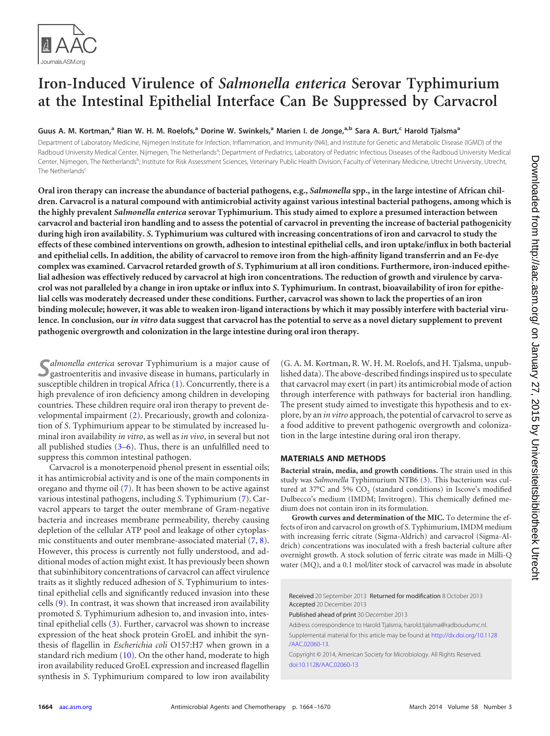

# **Iron-Induced Virulence of** *Salmonella enterica* **Serovar Typhimurium at the Intestinal Epithelial Interface Can Be Suppressed by Carvacrol**

## Guus A. M. Kortman,<sup>a</sup> Rian W. H. M. Roelofs,<sup>a</sup> Dorine W. Swinkels,<sup>a</sup> Marien I. de Jonge,<sup>a,b</sup> Sara A. Burt,<sup>c</sup> Harold Tjalsma<sup>a</sup>

Department of Laboratory Medicine, Nijmegen Institute for Infection, Inflammation, and Immunity (N4i), and Institute for Genetic and Metabolic Disease (IGMD) of the Radboud University Medical Center, Nijmegen, The Netherlands<sup>a</sup>; Department of Pediatrics, Laboratory of Pediatric Infectious Diseases of the Radboud University Medical Center, Nijmegen, The Netherlands<sup>b</sup>; Institute for Risk Assessment Sciences, Veterinary Public Health Division, Faculty of Veterinary Medicine, Utrecht University, Utrecht, The Netherlands<sup>c</sup>

**Oral iron therapy can increase the abundance of bacterial pathogens, e.g.,** *Salmonella* **spp., in the large intestine of African children. Carvacrol is a natural compound with antimicrobial activity against various intestinal bacterial pathogens, among which is the highly prevalent** *Salmonella enterica* **serovar Typhimurium. This study aimed to explore a presumed interaction between carvacrol and bacterial iron handling and to assess the potential of carvacrol in preventing the increase of bacterial pathogenicity during high iron availability.** *S***. Typhimurium was cultured with increasing concentrations of iron and carvacrol to study the effects of these combined interventions on growth, adhesion to intestinal epithelial cells, and iron uptake/influx in both bacterial and epithelial cells. In addition, the ability of carvacrol to remove iron from the high-affinity ligand transferrin and an Fe-dye complex was examined. Carvacrol retarded growth of** *S***. Typhimurium at all iron conditions. Furthermore, iron-induced epithelial adhesion was effectively reduced by carvacrol at high iron concentrations. The reduction of growth and virulence by carvacrol was not paralleled by a change in iron uptake or influx into** *S***. Typhimurium. In contrast, bioavailability of iron for epithelial cells was moderately decreased under these conditions. Further, carvacrol was shown to lack the properties of an iron binding molecule; however, it was able to weaken iron-ligand interactions by which it may possibly interfere with bacterial virulence. In conclusion, our** *in vitro* **data suggest that carvacrol has the potential to serve as a novel dietary supplement to prevent pathogenic overgrowth and colonization in the large intestine during oral iron therapy.**

Salmonella enterica serovar Typhimurium is a major cause of gastroenteritis and invasive disease in humans, particularly in susceptible children in tropical Africa [\(1\)](#page-5-0). Concurrently, there is a high prevalence of iron deficiency among children in developing countries. These children require oral iron therapy to prevent developmental impairment [\(2\)](#page-5-1). Precariously, growth and colonization of *S*. Typhimurium appear to be stimulated by increased luminal iron availability *in vitro*, as well as *in vivo*, in several but not all published studies  $(3-6)$  $(3-6)$  $(3-6)$ . Thus, there is an unfulfilled need to suppress this common intestinal pathogen.

Carvacrol is a monoterpenoid phenol present in essential oils; it has antimicrobial activity and is one of the main components in oregano and thyme oil [\(7\)](#page-6-2). It has been shown to be active against various intestinal pathogens, including *S*. Typhimurium [\(7\)](#page-6-2). Carvacrol appears to target the outer membrane of Gram-negative bacteria and increases membrane permeability, thereby causing depletion of the cellular ATP pool and leakage of other cytoplasmic constituents and outer membrane-associated material [\(7,](#page-6-2) [8\)](#page-6-3). However, this process is currently not fully understood, and additional modes of action might exist. It has previously been shown that subinhibitory concentrations of carvacrol can affect virulence traits as it slightly reduced adhesion of *S*. Typhimurium to intestinal epithelial cells and significantly reduced invasion into these cells [\(9\)](#page-6-4). In contrast, it was shown that increased iron availability promoted *S*. Typhimurium adhesion to, and invasion into, intestinal epithelial cells [\(3\)](#page-5-2). Further, carvacrol was shown to increase expression of the heat shock protein GroEL and inhibit the synthesis of flagellin in *Escherichia coli* O157:H7 when grown in a standard rich medium [\(10\)](#page-6-5). On the other hand, moderate to high iron availability reduced GroEL expression and increased flagellin synthesis in *S*. Typhimurium compared to low iron availability (G. A. M. Kortman, R. W. H. M. Roelofs, and H. Tjalsma, unpublished data). The above-described findings inspired us to speculate that carvacrol may exert (in part) its antimicrobial mode of action through interference with pathways for bacterial iron handling. The present study aimed to investigate this hypothesis and to explore, by an *in vitro* approach, the potential of carvacrol to serve as a food additive to prevent pathogenic overgrowth and colonization in the large intestine during oral iron therapy.

## **MATERIALS AND METHODS**

**Bacterial strain, media, and growth conditions.** The strain used in this study was *Salmonella* Typhimurium NTB6 [\(3\)](#page-5-2). This bacterium was cultured at 37°C and 5%  $CO<sub>2</sub>$  (standard conditions) in Iscove's modified Dulbecco's medium (IMDM; Invitrogen). This chemically defined medium does not contain iron in its formulation.

**Growth curves and determination of the MIC.** To determine the effects of iron and carvacrol on growth of *S*. Typhimurium, IMDM medium with increasing ferric citrate (Sigma-Aldrich) and carvacrol (Sigma-Aldrich) concentrations was inoculated with a fresh bacterial culture after overnight growth. A stock solution of ferric citrate was made in Milli-Q water (MQ), and a 0.1 mol/liter stock of carvacrol was made in absolute

Received 20 September 2013 Returned for modification 8 October 2013 Accepted 20 December 2013

Published ahead of print 30 December 2013

Address correspondence to Harold Tjalsma, harold.tjalsma@radboudumc.nl.

Supplemental material for this article may be found at [http://dx.doi.org/10.1128](http://dx.doi.org/10.1128/AAC.02060-13) [/AAC.02060-13.](http://dx.doi.org/10.1128/AAC.02060-13)

Copyright © 2014, American Society for Microbiology. All Rights Reserved. [doi:10.1128/AAC.02060-13](http://dx.doi.org/10.1128/AAC.02060-13)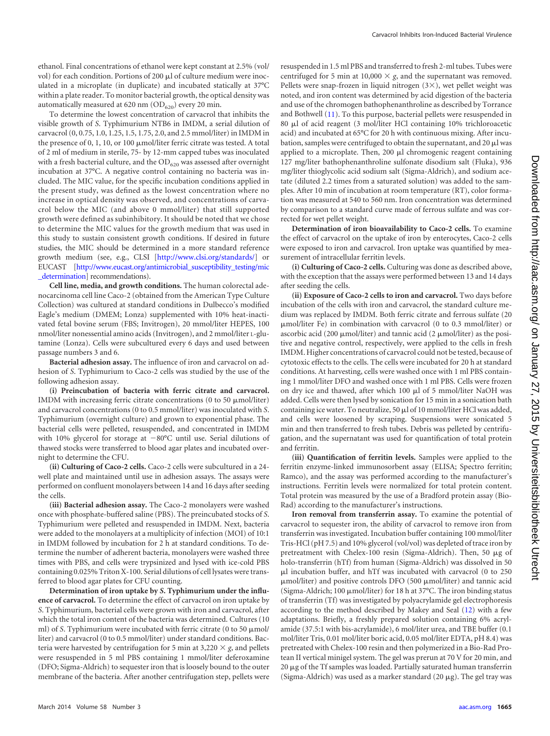ethanol. Final concentrations of ethanol were kept constant at 2.5% (vol/ vol) for each condition. Portions of 200  $\mu$ l of culture medium were inoculated in a microplate (in duplicate) and incubated statically at 37°C within a plate reader. To monitor bacterial growth, the optical density was automatically measured at 620 nm  $(OD_{620})$  every 20 min.

To determine the lowest concentration of carvacrol that inhibits the visible growth of *S*. Typhimurium NTB6 in IMDM, a serial dilution of carvacrol (0, 0.75, 1.0, 1.25, 1.5, 1.75, 2.0, and 2.5 mmol/liter) in IMDM in the presence of 0, 1, 10, or 100  $\mu$ mol/liter ferric citrate was tested. A total of 2 ml of medium in sterile, 75- by 12-mm capped tubes was inoculated with a fresh bacterial culture, and the  $\mathrm{OD}_{620}$  was assessed after overnight incubation at 37°C. A negative control containing no bacteria was included. The MIC value, for the specific incubation conditions applied in the present study, was defined as the lowest concentration where no increase in optical density was observed, and concentrations of carvacrol below the MIC (and above 0 mmol/liter) that still supported growth were defined as subinhibitory. It should be noted that we chose to determine the MIC values for the growth medium that was used in this study to sustain consistent growth conditions. If desired in future studies, the MIC should be determined in a more standard reference growth medium (see, e.g., CLSI [\[http://www.clsi.org/standards/\]](http://www.clsi.org/standards/) or EUCAST [\[http://www.eucast.org/antimicrobial\\_susceptibility\\_testing/mic](http://www.eucast.org/antimicrobial_susceptibility_testing/mic_determination) [\\_determination\]](http://www.eucast.org/antimicrobial_susceptibility_testing/mic_determination) recommendations).

**Cell line, media, and growth conditions.** The human colorectal adenocarcinoma cell line Caco-2 (obtained from the American Type Culture Collection) was cultured at standard conditions in Dulbecco's modified Eagle's medium (DMEM; Lonza) supplemented with 10% heat-inactivated fetal bovine serum (FBS; Invitrogen), 20 mmol/liter HEPES, 100 nmol/liter nonessential amino acids (Invitrogen), and 2 mmol/liter L-glutamine (Lonza). Cells were subcultured every 6 days and used between passage numbers 3 and 6.

**Bacterial adhesion assay.** The influence of iron and carvacrol on adhesion of *S*. Typhimurium to Caco-2 cells was studied by the use of the following adhesion assay.

**(i) Preincubation of bacteria with ferric citrate and carvacrol.** IMDM with increasing ferric citrate concentrations (0 to 50  $\mu$ mol/liter) and carvacrol concentrations (0 to 0.5 mmol/liter) was inoculated with *S*. Typhimurium (overnight culture) and grown to exponential phase. The bacterial cells were pelleted, resuspended, and concentrated in IMDM with 10% glycerol for storage at  $-80^{\circ}$ C until use. Serial dilutions of thawed stocks were transferred to blood agar plates and incubated overnight to determine the CFU.

**(ii) Culturing of Caco-2 cells.** Caco-2 cells were subcultured in a 24 well plate and maintained until use in adhesion assays. The assays were performed on confluent monolayers between 14 and 16 days after seeding the cells.

**(iii) Bacterial adhesion assay.** The Caco-2 monolayers were washed once with phosphate-buffered saline (PBS). The preincubated stocks of *S*. Typhimurium were pelleted and resuspended in IMDM. Next, bacteria were added to the monolayers at a multiplicity of infection (MOI) of 10:1 in IMDM followed by incubation for 2 h at standard conditions. To determine the number of adherent bacteria, monolayers were washed three times with PBS, and cells were trypsinized and lysed with ice-cold PBS containing 0.025% Triton X-100. Serial dilutions of cell lysates were transferred to blood agar plates for CFU counting.

**Determination of iron uptake by** *S***. Typhimurium under the influence of carvacrol.** To determine the effect of carvacrol on iron uptake by *S*. Typhimurium, bacterial cells were grown with iron and carvacrol, after which the total iron content of the bacteria was determined. Cultures (10 ml) of *S*. Typhimurium were incubated with ferric citrate (0 to 50  $\mu$ mol/ liter) and carvacrol (0 to 0.5 mmol/liter) under standard conditions. Bacteria were harvested by centrifugation for 5 min at  $3,220 \times g$ , and pellets were resuspended in 5 ml PBS containing 1 mmol/liter deferoxamine (DFO; Sigma-Aldrich) to sequester iron that is loosely bound to the outer membrane of the bacteria. After another centrifugation step, pellets were

resuspended in 1.5 ml PBS and transferred to fresh 2-ml tubes. Tubes were centrifuged for 5 min at 10,000  $\times$  g, and the supernatant was removed. Pellets were snap-frozen in liquid nitrogen  $(3\times)$ , wet pellet weight was noted, and iron content was determined by acid digestion of the bacteria and use of the chromogen bathophenanthroline as described by Torrance and Bothwell [\(11\)](#page-6-6). To this purpose, bacterial pellets were resuspended in 80 µl of acid reagent (3 mol/liter HCl containing 10% trichloroacetic acid) and incubated at 65°C for 20 h with continuous mixing. After incubation, samples were centrifuged to obtain the supernatant, and 20  $\mu$ l was applied to a microplate. Then, 200 µl chromogenic reagent containing 127 mg/liter bathophenanthroline sulfonate disodium salt (Fluka), 936 mg/liter thioglycolic acid sodium salt (Sigma-Aldrich), and sodium acetate (diluted 2.2 times from a saturated solution) was added to the samples. After 10 min of incubation at room temperature (RT), color formation was measured at 540 to 560 nm. Iron concentration was determined by comparison to a standard curve made of ferrous sulfate and was corrected for wet pellet weight.

**Determination of iron bioavailability to Caco-2 cells.** To examine the effect of carvacrol on the uptake of iron by enterocytes, Caco-2 cells were exposed to iron and carvacrol. Iron uptake was quantified by measurement of intracellular ferritin levels.

**(i) Culturing of Caco-2 cells.** Culturing was done as described above, with the exception that the assays were performed between 13 and 14 days after seeding the cells.

**(ii) Exposure of Caco-2 cells to iron and carvacrol.** Two days before incubation of the cells with iron and carvacrol, the standard culture medium was replaced by IMDM. Both ferric citrate and ferrous sulfate (20 -mol/liter Fe) in combination with carvacrol (0 to 0.3 mmol/liter) or ascorbic acid (200  $\mu$ mol/liter) and tannic acid (2  $\mu$ mol/liter) as the positive and negative control, respectively, were applied to the cells in fresh IMDM. Higher concentrations of carvacrol could not be tested, because of cytotoxic effects to the cells. The cells were incubated for 20 h at standard conditions. At harvesting, cells were washed once with 1 ml PBS containing 1 mmol/liter DFO and washed once with 1 ml PBS. Cells were frozen on dry ice and thawed, after which 100 µl of 5 mmol/liter NaOH was added. Cells were then lysed by sonication for 15 min in a sonication bath containing ice water. To neutralize, 50 µl of 10 mmol/liter HCl was added, and cells were loosened by scraping. Suspensions were sonicated 5 min and then transferred to fresh tubes. Debris was pelleted by centrifugation, and the supernatant was used for quantification of total protein and ferritin.

**(iii) Quantification of ferritin levels.** Samples were applied to the ferritin enzyme-linked immunosorbent assay (ELISA; Spectro ferritin; Ramco), and the assay was performed according to the manufacturer's instructions. Ferritin levels were normalized for total protein content. Total protein was measured by the use of a Bradford protein assay (Bio-Rad) according to the manufacturer's instructions.

**Iron removal from transferrin assay.** To examine the potential of carvacrol to sequester iron, the ability of carvacrol to remove iron from transferrin was investigated. Incubation buffer containing 100 mmol/liter Tris-HCl (pH 7.5) and 10% glycerol (vol/vol) was depleted of trace iron by pretreatment with Chelex-100 resin (Sigma-Aldrich). Then, 50 µg of holo-transferrin (hTf) from human (Sigma-Aldrich) was dissolved in 50 -l incubation buffer, and hTf was incubated with carvacrol (0 to 250 umol/liter) and positive controls DFO (500 umol/liter) and tannic acid (Sigma-Aldrich; 100  $\mu$ mol/liter) for 18 h at 37°C. The iron binding status of transferrin (Tf) was investigated by polyacrylamide gel electrophoresis according to the method described by Makey and Seal [\(12\)](#page-6-7) with a few adaptations. Briefly, a freshly prepared solution containing 6% acrylamide (37.5:1 with bis-acrylamide), 6 mol/liter urea, and TBE buffer (0.1 mol/liter Tris, 0.01 mol/liter boric acid, 0.05 mol/liter EDTA, pH 8.4) was pretreated with Chelex-100 resin and then polymerized in a Bio-Rad Protean II vertical minigel system. The gel was prerun at 70 V for 20 min, and 20 µg of the Tf samples was loaded. Partially saturated human transferrin (Sigma-Aldrich) was used as a marker standard  $(20 \ \mu g)$ . The gel tray was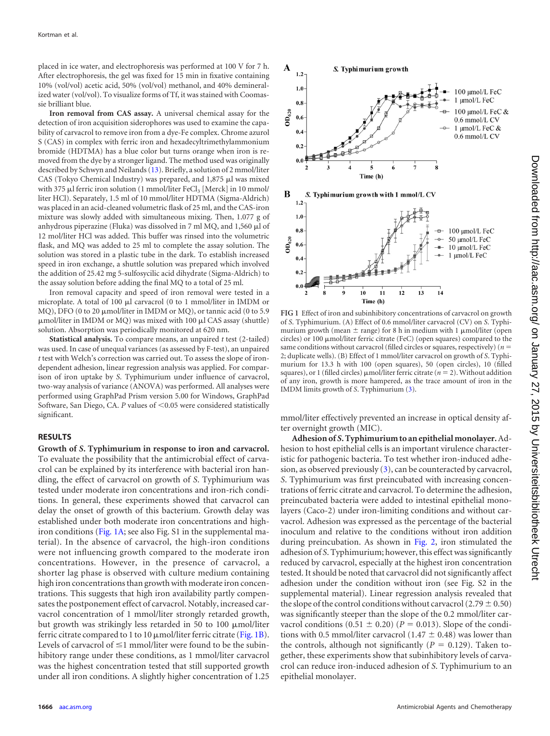placed in ice water, and electrophoresis was performed at 100 V for 7 h. After electrophoresis, the gel was fixed for 15 min in fixative containing 10% (vol/vol) acetic acid, 50% (vol/vol) methanol, and 40% demineralized water (vol/vol). To visualize forms of Tf, it was stained with Coomassie brilliant blue.

**Iron removal from CAS assay.** A universal chemical assay for the detection of iron acquisition siderophores was used to examine the capability of carvacrol to remove iron from a dye-Fe complex. Chrome azurol S (CAS) in complex with ferric iron and hexadecyltrimethylammonium bromide (HDTMA) has a blue color but turns orange when iron is removed from the dye by a stronger ligand. The method used was originally described by Schwyn and Neilands [\(13\)](#page-6-8). Briefly, a solution of 2 mmol/liter CAS (Tokyo Chemical Industry) was prepared, and 1,875 µl was mixed with 375  $\mu$ l ferric iron solution (1 mmol/liter FeCl<sub>3</sub> [Merck] in 10 mmol/ liter HCl). Separately, 1.5 ml of 10 mmol/liter HDTMA (Sigma-Aldrich) was placed in an acid-cleaned volumetric flask of 25 ml, and the CAS-iron mixture was slowly added with simultaneous mixing. Then, 1.077 g of anhydrous piperazine (Fluka) was dissolved in  $7$  ml MQ, and  $1,560 \mu$ l of 12 mol/liter HCl was added. This buffer was rinsed into the volumetric flask, and MQ was added to 25 ml to complete the assay solution. The solution was stored in a plastic tube in the dark. To establish increased speed in iron exchange, a shuttle solution was prepared which involved the addition of 25.42 mg 5-sulfosycilic acid dihydrate (Sigma-Aldrich) to the assay solution before adding the final MQ to a total of 25 ml.

Iron removal capacity and speed of iron removal were tested in a microplate. A total of 100 µl carvacrol (0 to 1 mmol/liter in IMDM or MQ), DFO (0 to 20  $\mu$ mol/liter in IMDM or MQ), or tannic acid (0 to 5.9 μmol/liter in IMDM or MQ) was mixed with 100 μl CAS assay (shuttle) solution. Absorption was periodically monitored at 620 nm.

**Statistical analysis.** To compare means, an unpaired *t* test (2-tailed) was used. In case of unequal variances (as assessed by F-test), an unpaired *t* test with Welch's correction was carried out. To assess the slope of irondependent adhesion, linear regression analysis was applied. For comparison of iron uptake by *S*. Typhimurium under influence of carvacrol, two-way analysis of variance (ANOVA) was performed. All analyses were performed using GraphPad Prism version 5.00 for Windows, GraphPad Software, San Diego, CA. *P* values of <0.05 were considered statistically significant.

#### **RESULTS**

**Growth of** *S***. Typhimurium in response to iron and carvacrol.** To evaluate the possibility that the antimicrobial effect of carvacrol can be explained by its interference with bacterial iron handling, the effect of carvacrol on growth of *S*. Typhimurium was tested under moderate iron concentrations and iron-rich conditions. In general, these experiments showed that carvacrol can delay the onset of growth of this bacterium. Growth delay was established under both moderate iron concentrations and highiron conditions [\(Fig. 1A;](#page-2-0) see also Fig. S1 in the supplemental material). In the absence of carvacrol, the high-iron conditions were not influencing growth compared to the moderate iron concentrations. However, in the presence of carvacrol, a shorter lag phase is observed with culture medium containing high iron concentrations than growth with moderate iron concentrations. This suggests that high iron availability partly compensates the postponement effect of carvacrol. Notably, increased carvacrol concentration of 1 mmol/liter strongly retarded growth, but growth was strikingly less retarded in 50 to 100 µmol/liter ferric citrate compared to 1 to 10  $\mu$ mol/liter ferric citrate [\(Fig. 1B\)](#page-2-0). Levels of carvacrol of  $\leq$ 1 mmol/liter were found to be the subinhibitory range under these conditions, as 1 mmol/liter carvacrol was the highest concentration tested that still supported growth under all iron conditions. A slightly higher concentration of 1.25



<span id="page-2-0"></span>**FIG 1** Effect of iron and subinhibitory concentrations of carvacrol on growth of *S*. Typhimurium. (A) Effect of 0.6 mmol/liter carvacrol (CV) on *S*. Typhimurium growth (mean  $\pm$  range) for 8 h in medium with 1  $\mu$ mol/liter (open circles) or 100 µmol/liter ferric citrate (FeC) (open squares) compared to the same conditions without carvacrol (filled circles or squares, respectively) (*n* 2; duplicate wells). (B) Effect of 1 mmol/liter carvacrol on growth of *S*. Typhimurium for 13.3 h with 100 (open squares), 50 (open circles), 10 (filled squares), or 1 (filled circles)  $\mu$ mol/liter ferric citrate ( $n = 2$ ). Without addition of any iron, growth is more hampered, as the trace amount of iron in the IMDM limits growth of *S*. Typhimurium [\(3\)](#page-5-2).

mmol/liter effectively prevented an increase in optical density after overnight growth (MIC).

**Adhesion of** *S***. Typhimurium to an epithelialmonolayer.**Adhesion to host epithelial cells is an important virulence characteristic for pathogenic bacteria. To test whether iron-induced adhesion, as observed previously [\(3\)](#page-5-2), can be counteracted by carvacrol, *S*. Typhimurium was first preincubated with increasing concentrations of ferric citrate and carvacrol. To determine the adhesion, preincubated bacteria were added to intestinal epithelial monolayers (Caco-2) under iron-limiting conditions and without carvacrol. Adhesion was expressed as the percentage of the bacterial inoculum and relative to the conditions without iron addition during preincubation. As shown in [Fig. 2,](#page-3-0) iron stimulated the adhesion of *S*. Typhimurium; however, this effect was significantly reduced by carvacrol, especially at the highest iron concentration tested. It should be noted that carvacrol did not significantly affect adhesion under the condition without iron (see Fig. S2 in the supplemental material). Linear regression analysis revealed that the slope of the control conditions without carvacrol (2.79  $\pm$  0.50) was significantly steeper than the slope of the 0.2 mmol/liter carvacrol conditions  $(0.51 \pm 0.20)$   $(P = 0.013)$ . Slope of the conditions with 0.5 mmol/liter carvacrol (1.47  $\pm$  0.48) was lower than the controls, although not significantly  $(P = 0.129)$ . Taken together, these experiments show that subinhibitory levels of carvacrol can reduce iron-induced adhesion of *S*. Typhimurium to an epithelial monolayer.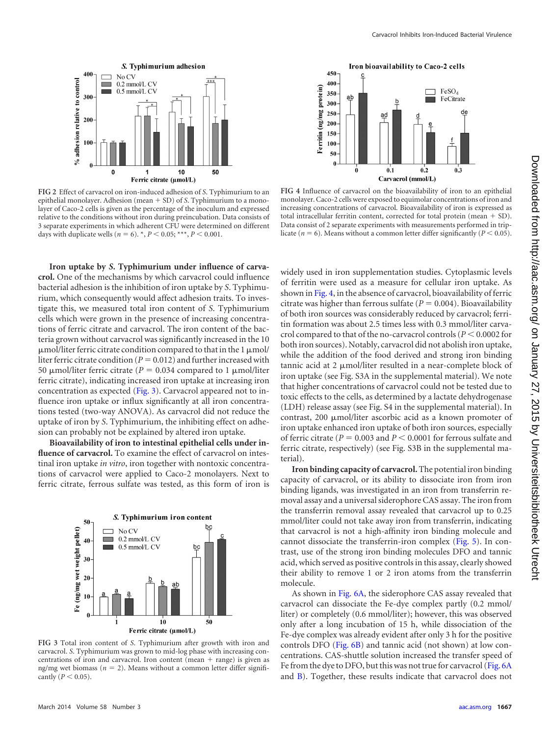

<span id="page-3-0"></span>**FIG 2** Effect of carvacrol on iron-induced adhesion of *S*. Typhimurium to an epithelial monolayer. Adhesion (mean + SD) of *S*. Typhimurium to a monolayer of Caco-2 cells is given as the percentage of the inoculum and expressed relative to the conditions without iron during preincubation. Data consists of 3 separate experiments in which adherent CFU were determined on different days with duplicate wells ( $n=6$  ).  $^{\ast},$   $P$   $<$  0.05;  $^{\ast\ast\ast},$   $P$   $<$  0.001.

**Iron uptake by** *S***. Typhimurium under influence of carvacrol.** One of the mechanisms by which carvacrol could influence bacterial adhesion is the inhibition of iron uptake by *S*. Typhimurium, which consequently would affect adhesion traits. To investigate this, we measured total iron content of *S*. Typhimurium cells which were grown in the presence of increasing concentrations of ferric citrate and carvacrol. The iron content of the bacteria grown without carvacrol was significantly increased in the 10  $\mu$ mol/liter ferric citrate condition compared to that in the 1  $\mu$ mol/ liter ferric citrate condition ( $P = 0.012$ ) and further increased with 50  $\mu$ mol/liter ferric citrate ( $P = 0.034$  compared to 1  $\mu$ mol/liter ferric citrate), indicating increased iron uptake at increasing iron concentration as expected [\(Fig. 3\)](#page-3-1). Carvacrol appeared not to influence iron uptake or influx significantly at all iron concentrations tested (two-way ANOVA). As carvacrol did not reduce the uptake of iron by *S*. Typhimurium, the inhibiting effect on adhesion can probably not be explained by altered iron uptake.

**Bioavailability of iron to intestinal epithelial cells under influence of carvacrol.** To examine the effect of carvacrol on intestinal iron uptake *in vitro*, iron together with nontoxic concentrations of carvacrol were applied to Caco-2 monolayers. Next to ferric citrate, ferrous sulfate was tested, as this form of iron is



<span id="page-3-1"></span>**FIG 3** Total iron content of *S*. Typhimurium after growth with iron and carvacrol. *S*. Typhimurium was grown to mid-log phase with increasing concentrations of iron and carvacrol. Iron content (mean  $+$  range) is given as ng/mg wet biomass ( $n = 2$ ). Means without a common letter differ significantly  $(P < 0.05)$ .



<span id="page-3-2"></span>**FIG 4** Influence of carvacrol on the bioavailability of iron to an epithelial monolayer. Caco-2 cells were exposed to equimolar concentrations of iron and increasing concentrations of carvacrol. Bioavailability of iron is expressed as total intracellular ferritin content, corrected for total protein (mean  $+$  SD). Data consist of 2 separate experiments with measurements performed in triplicate ( $n = 6$ ). Means without a common letter differ significantly ( $P \le 0.05$ ).

widely used in iron supplementation studies. Cytoplasmic levels of ferritin were used as a measure for cellular iron uptake. As shown in [Fig. 4,](#page-3-2) in the absence of carvacrol, bioavailability of ferric citrate was higher than ferrous sulfate  $(P = 0.004)$ . Bioavailability of both iron sources was considerably reduced by carvacrol; ferritin formation was about 2.5 times less with 0.3 mmol/liter carvacrol compared to that of the no-carvacrol controls ( $P < 0.0002$  for both iron sources). Notably, carvacrol did not abolish iron uptake, while the addition of the food derived and strong iron binding tannic acid at 2 µmol/liter resulted in a near-complete block of iron uptake (see Fig. S3A in the supplemental material). We note that higher concentrations of carvacrol could not be tested due to toxic effects to the cells, as determined by a lactate dehydrogenase (LDH) release assay (see Fig. S4 in the supplemental material). In contrast, 200 µmol/liter ascorbic acid as a known promoter of iron uptake enhanced iron uptake of both iron sources, especially of ferric citrate ( $P = 0.003$  and  $P < 0.0001$  for ferrous sulfate and ferric citrate, respectively) (see Fig. S3B in the supplemental material).

**Iron binding capacity of carvacrol.** The potential iron binding capacity of carvacrol, or its ability to dissociate iron from iron binding ligands, was investigated in an iron from transferrin removal assay and a universal siderophore CAS assay. The iron from the transferrin removal assay revealed that carvacrol up to 0.25 mmol/liter could not take away iron from transferrin, indicating that carvacrol is not a high-affinity iron binding molecule and cannot dissociate the transferrin-iron complex [\(Fig. 5\)](#page-4-0). In contrast, use of the strong iron binding molecules DFO and tannic acid, which served as positive controls in this assay, clearly showed their ability to remove 1 or 2 iron atoms from the transferrin molecule.

As shown in [Fig. 6A,](#page-4-1) the siderophore CAS assay revealed that carvacrol can dissociate the Fe-dye complex partly (0.2 mmol/ liter) or completely (0.6 mmol/liter); however, this was observed only after a long incubation of 15 h, while dissociation of the Fe-dye complex was already evident after only 3 h for the positive controls DFO [\(Fig. 6B\)](#page-4-1) and tannic acid (not shown) at low concentrations. CAS-shuttle solution increased the transfer speed of Fe from the dye to DFO, but this was not true for carvacrol [\(Fig. 6A](#page-4-1) and [B\)](#page-4-1). Together, these results indicate that carvacrol does not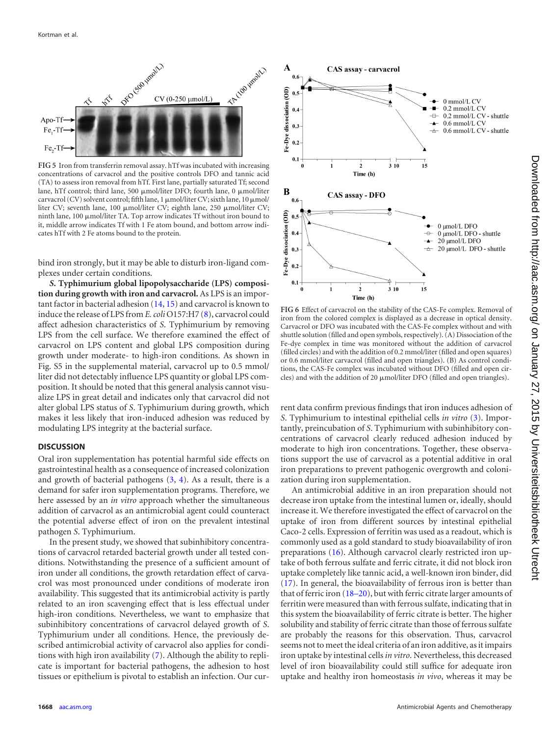

<span id="page-4-0"></span>**FIG 5** Iron from transferrin removal assay. hTf was incubated with increasing concentrations of carvacrol and the positive controls DFO and tannic acid (TA) to assess iron removal from hTf. First lane, partially saturated Tf; second lane, hTf control; third lane, 500 µmol/liter DFO; fourth lane, 0 µmol/liter carvacrol (CV) solvent control; fifth lane, 1  $\mu$ mol/liter CV; sixth lane, 10  $\mu$ mol/ liter CV; seventh lane, 100  $\mu$ mol/liter CV; eighth lane, 250  $\mu$ mol/liter CV; ninth lane, 100 µmol/liter TA. Top arrow indicates Tf without iron bound to it, middle arrow indicates Tf with 1 Fe atom bound, and bottom arrow indicates hTf with 2 Fe atoms bound to the protein.

bind iron strongly, but it may be able to disturb iron-ligand complexes under certain conditions.

*S***. Typhimurium global lipopolysaccharide (LPS) composition during growth with iron and carvacrol.** As LPS is an important factor in bacterial adhesion [\(14,](#page-6-9) [15\)](#page-6-10) and carvacrol is known to induce the release of LPS from *E. coli* O157:H7 [\(8\)](#page-6-3), carvacrol could affect adhesion characteristics of *S*. Typhimurium by removing LPS from the cell surface. We therefore examined the effect of carvacrol on LPS content and global LPS composition during growth under moderate- to high-iron conditions. As shown in Fig. S5 in the supplemental material, carvacrol up to 0.5 mmol/ liter did not detectably influence LPS quantity or global LPS composition. It should be noted that this general analysis cannot visualize LPS in great detail and indicates only that carvacrol did not alter global LPS status of *S*. Typhimurium during growth, which makes it less likely that iron-induced adhesion was reduced by modulating LPS integrity at the bacterial surface.

#### **DISCUSSION**

Oral iron supplementation has potential harmful side effects on gastrointestinal health as a consequence of increased colonization and growth of bacterial pathogens [\(3,](#page-5-2) [4\)](#page-6-11). As a result, there is a demand for safer iron supplementation programs. Therefore, we here assessed by an *in vitro* approach whether the simultaneous addition of carvacrol as an antimicrobial agent could counteract the potential adverse effect of iron on the prevalent intestinal pathogen *S*. Typhimurium.

In the present study, we showed that subinhibitory concentrations of carvacrol retarded bacterial growth under all tested conditions. Notwithstanding the presence of a sufficient amount of iron under all conditions, the growth retardation effect of carvacrol was most pronounced under conditions of moderate iron availability. This suggested that its antimicrobial activity is partly related to an iron scavenging effect that is less effectual under high-iron conditions. Nevertheless, we want to emphasize that subinhibitory concentrations of carvacrol delayed growth of *S*. Typhimurium under all conditions. Hence, the previously described antimicrobial activity of carvacrol also applies for conditions with high iron availability [\(7\)](#page-6-2). Although the ability to replicate is important for bacterial pathogens, the adhesion to host tissues or epithelium is pivotal to establish an infection. Our cur-



<span id="page-4-1"></span>**FIG 6** Effect of carvacrol on the stability of the CAS-Fe complex. Removal of iron from the colored complex is displayed as a decrease in optical density. Carvacrol or DFO was incubated with the CAS-Fe complex without and with shuttle solution (filled and open symbols, respectively). (A) Dissociation of the Fe-dye complex in time was monitored without the addition of carvacrol (filled circles) and with the addition of 0.2 mmol/liter (filled and open squares) or 0.6 mmol/liter carvacrol (filled and open triangles). (B) As control conditions, the CAS-Fe complex was incubated without DFO (filled and open circles) and with the addition of 20  $\mu$ mol/liter DFO (filled and open triangles).

rent data confirm previous findings that iron induces adhesion of *S*. Typhimurium to intestinal epithelial cells *in vitro* [\(3\)](#page-5-2). Importantly, preincubation of *S*. Typhimurium with subinhibitory concentrations of carvacrol clearly reduced adhesion induced by moderate to high iron concentrations. Together, these observations support the use of carvacrol as a potential additive in oral iron preparations to prevent pathogenic overgrowth and colonization during iron supplementation.

An antimicrobial additive in an iron preparation should not decrease iron uptake from the intestinal lumen or, ideally, should increase it. We therefore investigated the effect of carvacrol on the uptake of iron from different sources by intestinal epithelial Caco-2 cells. Expression of ferritin was used as a readout, which is commonly used as a gold standard to study bioavailability of iron preparations [\(16\)](#page-6-12). Although carvacrol clearly restricted iron uptake of both ferrous sulfate and ferric citrate, it did not block iron uptake completely like tannic acid, a well-known iron binder, did [\(17\)](#page-6-13). In general, the bioavailability of ferrous iron is better than that of ferric iron [\(18](#page-6-14)[–](#page-6-15)[20\)](#page-6-16), but with ferric citrate larger amounts of ferritin were measured than with ferrous sulfate, indicating that in this system the bioavailability of ferric citrate is better. The higher solubility and stability of ferric citrate than those of ferrous sulfate are probably the reasons for this observation. Thus, carvacrol seems not to meet the ideal criteria of an iron additive, as it impairs iron uptake by intestinal cells *in vitro*. Nevertheless, this decreased level of iron bioavailability could still suffice for adequate iron uptake and healthy iron homeostasis *in vivo*, whereas it may be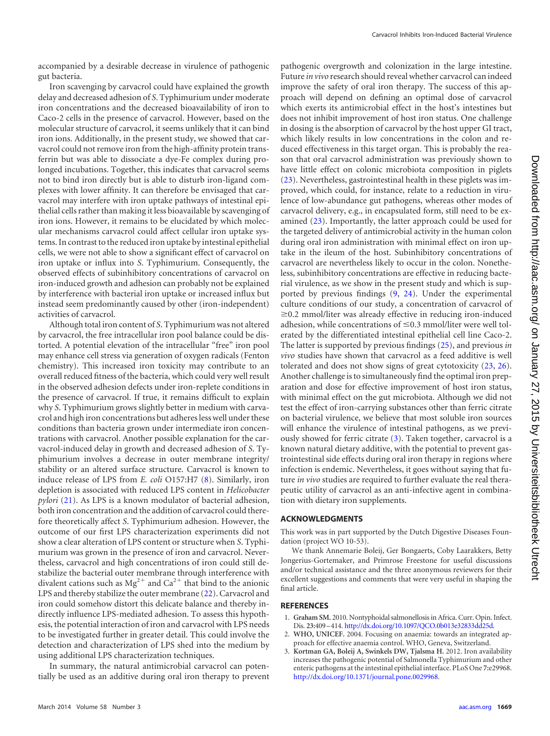accompanied by a desirable decrease in virulence of pathogenic gut bacteria.

Iron scavenging by carvacrol could have explained the growth delay and decreased adhesion of *S*. Typhimurium under moderate iron concentrations and the decreased bioavailability of iron to Caco-2 cells in the presence of carvacrol. However, based on the molecular structure of carvacrol, it seems unlikely that it can bind iron ions. Additionally, in the present study, we showed that carvacrol could not remove iron from the high-affinity protein transferrin but was able to dissociate a dye-Fe complex during prolonged incubations. Together, this indicates that carvacrol seems not to bind iron directly but is able to disturb iron-ligand complexes with lower affinity. It can therefore be envisaged that carvacrol may interfere with iron uptake pathways of intestinal epithelial cells rather than making it less bioavailable by scavenging of iron ions. However, it remains to be elucidated by which molecular mechanisms carvacrol could affect cellular iron uptake systems. In contrast to the reduced iron uptake by intestinal epithelial cells, we were not able to show a significant effect of carvacrol on iron uptake or influx into *S*. Typhimurium. Consequently, the observed effects of subinhibitory concentrations of carvacrol on iron-induced growth and adhesion can probably not be explained by interference with bacterial iron uptake or increased influx but instead seem predominantly caused by other (iron-independent) activities of carvacrol.

Although total iron content of *S*. Typhimurium was not altered by carvacrol, the free intracellular iron pool balance could be distorted. A potential elevation of the intracellular "free" iron pool may enhance cell stress via generation of oxygen radicals (Fenton chemistry). This increased iron toxicity may contribute to an overall reduced fitness of the bacteria, which could very well result in the observed adhesion defects under iron-replete conditions in the presence of carvacrol. If true, it remains difficult to explain why *S*. Typhimurium grows slightly better in medium with carvacrol and high iron concentrations but adheres less well under these conditions than bacteria grown under intermediate iron concentrations with carvacrol. Another possible explanation for the carvacrol-induced delay in growth and decreased adhesion of *S*. Typhimurium involves a decrease in outer membrane integrity/ stability or an altered surface structure. Carvacrol is known to induce release of LPS from *E. coli* O157:H7 [\(8\)](#page-6-3). Similarly, iron depletion is associated with reduced LPS content in *Helicobacter pylori* [\(21\)](#page-6-17). As LPS is a known modulator of bacterial adhesion, both iron concentration and the addition of carvacrol could therefore theoretically affect *S*. Typhimurium adhesion. However, the outcome of our first LPS characterization experiments did not show a clear alteration of LPS content or structure when *S*. Typhimurium was grown in the presence of iron and carvacrol. Nevertheless, carvacrol and high concentrations of iron could still destabilize the bacterial outer membrane through interference with divalent cations such as  $Mg^{2+}$  and  $Ca^{2+}$  that bind to the anionic LPS and thereby stabilize the outer membrane [\(22\)](#page-6-18). Carvacrol and iron could somehow distort this delicate balance and thereby indirectly influence LPS-mediated adhesion. To assess this hypothesis, the potential interaction of iron and carvacrol with LPS needs to be investigated further in greater detail. This could involve the detection and characterization of LPS shed into the medium by using additional LPS characterization techniques.

In summary, the natural antimicrobial carvacrol can potentially be used as an additive during oral iron therapy to prevent

pathogenic overgrowth and colonization in the large intestine. Future *in vivo* research should reveal whether carvacrol can indeed improve the safety of oral iron therapy. The success of this approach will depend on defining an optimal dose of carvacrol which exerts its antimicrobial effect in the host's intestines but does not inhibit improvement of host iron status. One challenge in dosing is the absorption of carvacrol by the host upper GI tract, which likely results in low concentrations in the colon and reduced effectiveness in this target organ. This is probably the reason that oral carvacrol administration was previously shown to have little effect on colonic microbiota composition in piglets [\(23\)](#page-6-19). Nevertheless, gastrointestinal health in these piglets was improved, which could, for instance, relate to a reduction in virulence of low-abundance gut pathogens, whereas other modes of carvacrol delivery, e.g., in encapsulated form, still need to be examined [\(23\)](#page-6-19). Importantly, the latter approach could be used for the targeted delivery of antimicrobial activity in the human colon during oral iron administration with minimal effect on iron uptake in the ileum of the host. Subinhibitory concentrations of carvacrol are nevertheless likely to occur in the colon. Nonetheless, subinhibitory concentrations are effective in reducing bacterial virulence, as we show in the present study and which is supported by previous findings [\(9,](#page-6-4) [24\)](#page-6-20). Under the experimental culture conditions of our study, a concentration of carvacrol of  $\geq$ 0.2 mmol/liter was already effective in reducing iron-induced adhesion, while concentrations of  $\leq$ 0.3 mmol/liter were well tolerated by the differentiated intestinal epithelial cell line Caco-2. The latter is supported by previous findings [\(25\)](#page-6-21), and previous *in vivo* studies have shown that carvacrol as a feed additive is well tolerated and does not show signs of great cytotoxicity [\(23,](#page-6-19) [26\)](#page-6-22). Another challenge is to simultaneously find the optimal iron preparation and dose for effective improvement of host iron status, with minimal effect on the gut microbiota. Although we did not test the effect of iron-carrying substances other than ferric citrate on bacterial virulence, we believe that most soluble iron sources will enhance the virulence of intestinal pathogens, as we previously showed for ferric citrate [\(3\)](#page-5-2). Taken together, carvacrol is a known natural dietary additive, with the potential to prevent gastrointestinal side effects during oral iron therapy in regions where infection is endemic. Nevertheless, it goes without saying that future *in vivo* studies are required to further evaluate the real therapeutic utility of carvacrol as an anti-infective agent in combination with dietary iron supplements.

### **ACKNOWLEDGMENTS**

This work was in part supported by the Dutch Digestive Diseases Foundation (project WO 10-53).

We thank Annemarie Boleij, Ger Bongaerts, Coby Laarakkers, Betty Jongerius-Gortemaker, and Primrose Freestone for useful discussions and/or technical assistance and the three anonymous reviewers for their excellent suggestions and comments that were very useful in shaping the final article.

#### <span id="page-5-0"></span>**REFERENCES**

- <span id="page-5-1"></span>1. **Graham SM.** 2010. Nontyphoidal salmonellosis in Africa. Curr. Opin. Infect. Dis. **23:**409 –414. [http://dx.doi.org/10.1097/QCO.0b013e32833dd25d.](http://dx.doi.org/10.1097/QCO.0b013e32833dd25d)
- <span id="page-5-2"></span>2. **WHO, UNICEF.** 2004. Focusing on anaemia: towards an integrated approach for effective anaemia control. WHO, Geneva, Switzerland.
- 3. **Kortman GA, Boleij A, Swinkels DW, Tjalsma H.** 2012. Iron availability increases the pathogenic potential of Salmonella Typhimurium and other enteric pathogens at the intestinal epithelial interface. PLoS One **7:**e29968. [http://dx.doi.org/10.1371/journal.pone.0029968.](http://dx.doi.org/10.1371/journal.pone.0029968)